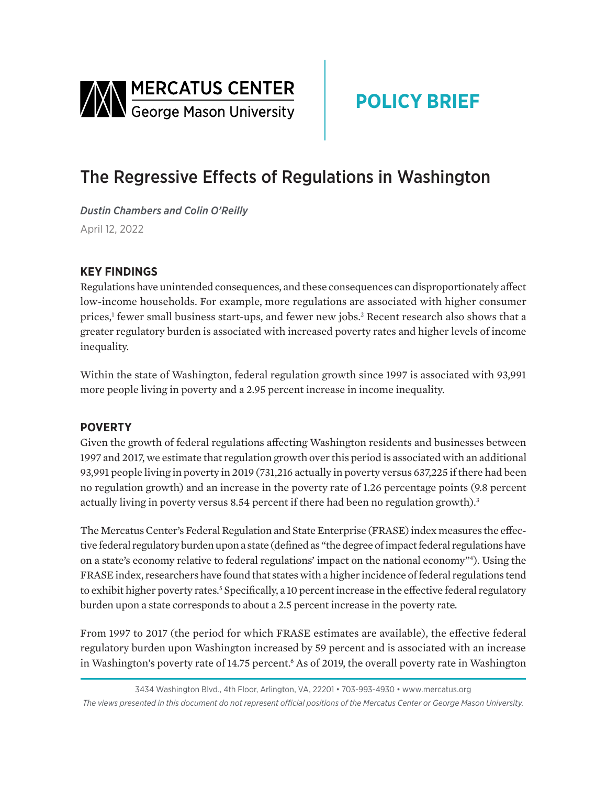<span id="page-0-0"></span>

# **POLICY BRIEF**

## The Regressive Effects of Regulations in Washington

*Dustin Chambers and Colin O'Reilly*  April 12, 2022

### **KEY FINDINGS**

Regulations have unintended consequences, and these consequences can disproportionately affect low-income households. For example, more regulations are associated with higher consumer prices,<sup>[1](#page-2-0)</sup> fewer small business start-ups, and fewer new jobs.<sup>[2](#page-2-0)</sup> Recent research also shows that a greater regulatory burden is associated with increased poverty rates and higher levels of income inequality.

Within the state of Washington, federal regulation growth since 1997 is associated with 93,991 more people living in poverty and a 2.95 percent increase in income inequality.

#### **POVERTY**

Given the growth of federal regulations affecting Washington residents and businesses between 1997 and 2017, we estimate that regulation growth over this period is associated with an additional 93,991 people living in poverty in 2019 (731,216 actually in poverty versus 637,225 if there had been no regulation growth) and an increase in the poverty rate of 1.26 percentage points (9.8 percent actually living in poverty versus 8.54 percent if there had been no regulation growth).<sup>3</sup>

The Mercatus Center's Federal Regulation and State Enterprise (FRASE) index measures the effective federal regulatory burden upon a state (defined as "the degree of impact federal regulations have on a state's economy relative to federal regulations' impact on the national economy["4](#page-2-0) ). Using the FRASE index, researchers have found that states with a higher incidence of federal regulations tend to exhibit higher poverty rates.<sup>5</sup> Specifically, a 10 percent increase in the effective federal regulatory burden upon a state corresponds to about a 2.5 percent increase in the poverty rate.

From 1997 to 2017 (the period for which FRASE estimates are available), the effective federal regulatory burden upon Washington increased by 59 percent and is associated with an increase in Washington's poverty rate of 14.75 percent.<sup>6</sup> As of 2019, the overall poverty rate in Washington

<sup>3434</sup> Washington Blvd., 4th Floor, Arlington, VA, 22201 • 703-993-4930 • www.mercatus.org *The views presented in this document do not represent official positions of the Mercatus Center or George Mason University.*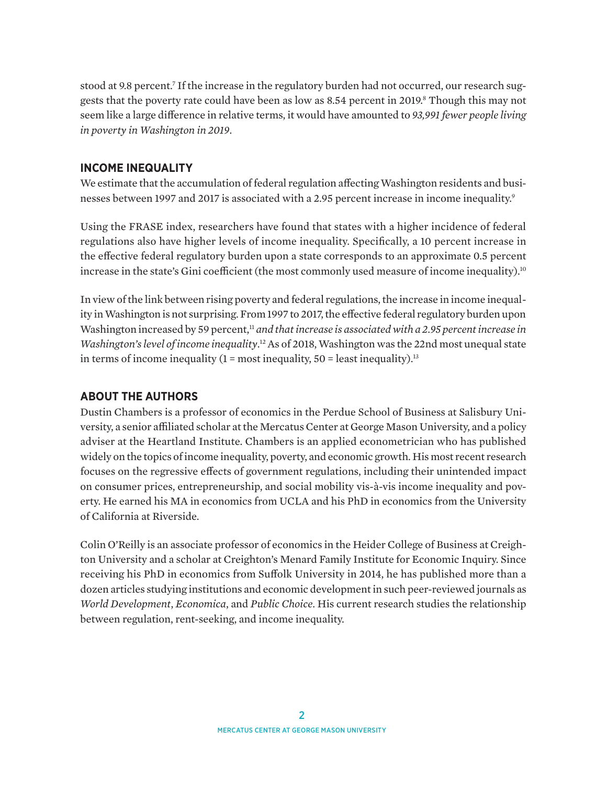<span id="page-1-0"></span>stood at 9.8 percent.<sup>7</sup> If the increase in the regulatory burden had not occurred, our research sug-gests that the poverty rate could have been as low as [8](#page-2-0).54 percent in 2019.<sup>8</sup> Though this may not seem like a large difference in relative terms, it would have amounted to *93,991 fewer people living in poverty in Washington in 2019*.

#### **INCOME INEQUALITY**

We estimate that the accumulation of federal regulation affecting Washington residents and busi-nesses between 1997 and 2017 is associated with a 2[.9](#page-2-0)5 percent increase in income inequality.<sup>9</sup>

Using the FRASE index, researchers have found that states with a higher incidence of federal regulations also have higher levels of income inequality. Specifically, a 10 percent increase in the effective federal regulatory burden upon a state corresponds to an approximate 0.5 percent increase in the state's Gini coefficient (the most commonly used measure of income inequality).<sup>[10](#page-2-0)</sup>

In view of the link between rising poverty and federal regulations, the increase in income inequality in Washington is not surprising. From 1997 to 2017, the effective federal regulatory burden upon Washington increased by 59 percent,<sup>[11](#page-2-0)</sup> *and that increase is associated with a 2.95 percent increase in* Washington's level of income inequality.<sup>[12](#page-2-0)</sup> As of 2018, Washington was the 22nd most unequal state in terms of income inequality  $(1 = \text{most inequality}, 50 = \text{least inequality})$ .<sup>[13](#page-2-0)</sup>

#### **ABOUT THE AUTHORS**

Dustin Chambers is a professor of economics in the Perdue School of Business at Salisbury University, a senior affiliated scholar at the Mercatus Center at George Mason University, and a policy adviser at the Heartland Institute. Chambers is an applied econometrician who has published widely on the topics of income inequality, poverty, and economic growth. His most recent research focuses on the regressive effects of government regulations, including their unintended impact on consumer prices, entrepreneurship, and social mobility vis-à-vis income inequality and poverty. He earned his MA in economics from UCLA and his PhD in economics from the University of California at Riverside.

Colin O'Reilly is an associate professor of economics in the Heider College of Business at Creighton University and a scholar at Creighton's Menard Family Institute for Economic Inquiry. Since receiving his PhD in economics from Suffolk University in 2014, he has published more than a dozen articles studying institutions and economic development in such peer-reviewed journals as *World Development*, *Economica*, and *Public Choice*. His current research studies the relationship between regulation, rent-seeking, and income inequality.